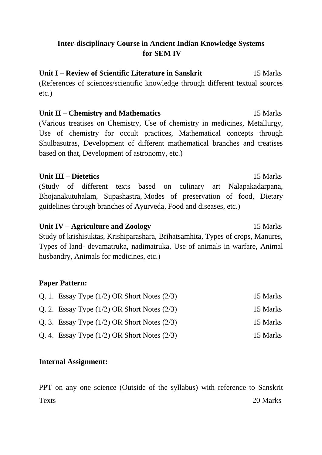# **Inter-disciplinary Course in Ancient Indian Knowledge Systems for SEM IV**

**Unit I – Review of Scientific Literature in Sanskrit** 15 Marks (References of sciences/scientific knowledge through different textual sources etc.)

# **Unit II – Chemistry and Mathematics** 15 Marks (Various treatises on Chemistry, Use of chemistry in medicines, Metallurgy, Use of chemistry for occult practices, Mathematical concepts through Shulbasutras, Development of different mathematical branches and treatises based on that, Development of astronomy, etc.)

## **Unit III – Dietetics** 15 Marks

(Study of different texts based on culinary art Nalapakadarpana, Bhojanakutuhalam, Supashastra, Modes of preservation of food, Dietary guidelines through branches of Ayurveda, Food and diseases, etc.)

**Unit IV – Agriculture and Zoology** 15 Marks Study of krishisuktas, Krishiparashara, Brihatsamhita, Types of crops, Manures, Types of land- devamatruka, nadimatruka, Use of animals in warfare, Animal husbandry, Animals for medicines, etc.)

## **Paper Pattern:**

| Q. 1. Essay Type $(1/2)$ OR Short Notes $(2/3)$ | 15 Marks |
|-------------------------------------------------|----------|
| Q. 2. Essay Type $(1/2)$ OR Short Notes $(2/3)$ | 15 Marks |
| Q. 3. Essay Type $(1/2)$ OR Short Notes $(2/3)$ | 15 Marks |
| Q. 4. Essay Type $(1/2)$ OR Short Notes $(2/3)$ | 15 Marks |

## **Internal Assignment:**

PPT on any one science (Outside of the syllabus) with reference to Sanskrit Texts 20 Marks